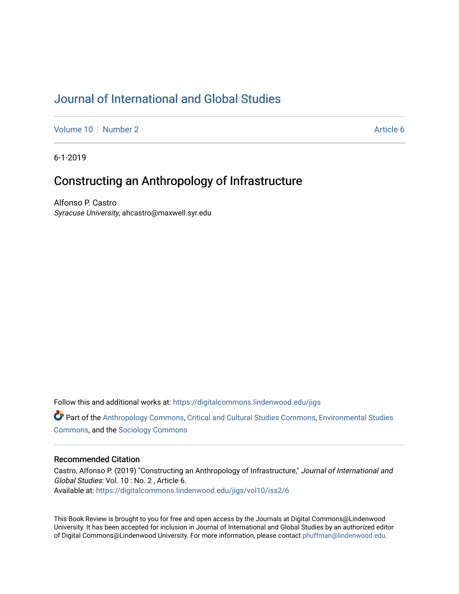# [Journal of International and Global Studies](https://digitalcommons.lindenwood.edu/jigs)

[Volume 10](https://digitalcommons.lindenwood.edu/jigs/vol10) [Number 2](https://digitalcommons.lindenwood.edu/jigs/vol10/iss2) Article 6

6-1-2019

## Constructing an Anthropology of Infrastructure

Alfonso P. Castro Syracuse University, ahcastro@maxwell.syr.edu

Follow this and additional works at: [https://digitalcommons.lindenwood.edu/jigs](https://digitalcommons.lindenwood.edu/jigs?utm_source=digitalcommons.lindenwood.edu%2Fjigs%2Fvol10%2Fiss2%2F6&utm_medium=PDF&utm_campaign=PDFCoverPages) 

**C** Part of the [Anthropology Commons](http://network.bepress.com/hgg/discipline/318?utm_source=digitalcommons.lindenwood.edu%2Fjigs%2Fvol10%2Fiss2%2F6&utm_medium=PDF&utm_campaign=PDFCoverPages), [Critical and Cultural Studies Commons](http://network.bepress.com/hgg/discipline/328?utm_source=digitalcommons.lindenwood.edu%2Fjigs%2Fvol10%2Fiss2%2F6&utm_medium=PDF&utm_campaign=PDFCoverPages), Environmental Studies [Commons](http://network.bepress.com/hgg/discipline/1333?utm_source=digitalcommons.lindenwood.edu%2Fjigs%2Fvol10%2Fiss2%2F6&utm_medium=PDF&utm_campaign=PDFCoverPages), and the [Sociology Commons](http://network.bepress.com/hgg/discipline/416?utm_source=digitalcommons.lindenwood.edu%2Fjigs%2Fvol10%2Fiss2%2F6&utm_medium=PDF&utm_campaign=PDFCoverPages)

### Recommended Citation

Castro, Alfonso P. (2019) "Constructing an Anthropology of Infrastructure," Journal of International and Global Studies: Vol. 10 : No. 2 , Article 6. Available at: [https://digitalcommons.lindenwood.edu/jigs/vol10/iss2/6](https://digitalcommons.lindenwood.edu/jigs/vol10/iss2/6?utm_source=digitalcommons.lindenwood.edu%2Fjigs%2Fvol10%2Fiss2%2F6&utm_medium=PDF&utm_campaign=PDFCoverPages) 

This Book Review is brought to you for free and open access by the Journals at Digital Commons@Lindenwood University. It has been accepted for inclusion in Journal of International and Global Studies by an authorized editor of Digital Commons@Lindenwood University. For more information, please contact [phuffman@lindenwood.edu](mailto:phuffman@lindenwood.edu).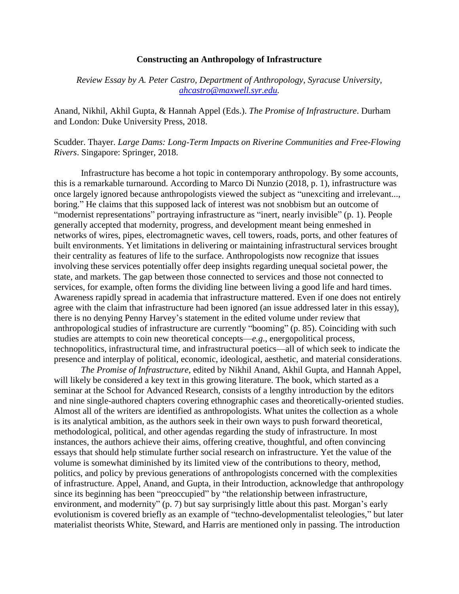#### **Constructing an Anthropology of Infrastructure**

*Review Essay by A. Peter Castro, Department of Anthropology, Syracuse University, [ahcastro@maxwell.syr.edu.](mailto:ahcastro@maxwell.syr.edu)* 

Anand, Nikhil, Akhil Gupta, & Hannah Appel (Eds.). *The Promise of Infrastructure*. Durham and London: Duke University Press, 2018.

Scudder. Thayer. *Large Dams: Long-Term Impacts on Riverine Communities and Free-Flowing Rivers*. Singapore: Springer, 2018.

Infrastructure has become a hot topic in contemporary anthropology. By some accounts, this is a remarkable turnaround. According to Marco Di Nunzio (2018, p. 1), infrastructure was once largely ignored because anthropologists viewed the subject as "unexciting and irrelevant..., boring." He claims that this supposed lack of interest was not snobbism but an outcome of "modernist representations" portraying infrastructure as "inert, nearly invisible" (p. 1). People generally accepted that modernity, progress, and development meant being enmeshed in networks of wires, pipes, electromagnetic waves, cell towers, roads, ports, and other features of built environments. Yet limitations in delivering or maintaining infrastructural services brought their centrality as features of life to the surface. Anthropologists now recognize that issues involving these services potentially offer deep insights regarding unequal societal power, the state, and markets. The gap between those connected to services and those not connected to services, for example, often forms the dividing line between living a good life and hard times. Awareness rapidly spread in academia that infrastructure mattered. Even if one does not entirely agree with the claim that infrastructure had been ignored (an issue addressed later in this essay), there is no denying Penny Harvey's statement in the edited volume under review that anthropological studies of infrastructure are currently "booming" (p. 85). Coinciding with such studies are attempts to coin new theoretical concepts—*e.g*., energopolitical process, technopolitics, infrastructural time, and infrastructural poetics—all of which seek to indicate the presence and interplay of political, economic, ideological, aesthetic, and material considerations.

*The Promise of Infrastructure,* edited by Nikhil Anand, Akhil Gupta, and Hannah Appel, will likely be considered a key text in this growing literature. The book, which started as a seminar at the School for Advanced Research, consists of a lengthy introduction by the editors and nine single-authored chapters covering ethnographic cases and theoretically-oriented studies. Almost all of the writers are identified as anthropologists. What unites the collection as a whole is its analytical ambition, as the authors seek in their own ways to push forward theoretical, methodological, political, and other agendas regarding the study of infrastructure. In most instances, the authors achieve their aims, offering creative, thoughtful, and often convincing essays that should help stimulate further social research on infrastructure. Yet the value of the volume is somewhat diminished by its limited view of the contributions to theory, method, politics, and policy by previous generations of anthropologists concerned with the complexities of infrastructure. Appel, Anand, and Gupta, in their Introduction, acknowledge that anthropology since its beginning has been "preoccupied" by "the relationship between infrastructure, environment, and modernity" (p. 7) but say surprisingly little about this past. Morgan's early evolutionism is covered briefly as an example of "techno-developmentalist teleologies," but later materialist theorists White, Steward, and Harris are mentioned only in passing. The introduction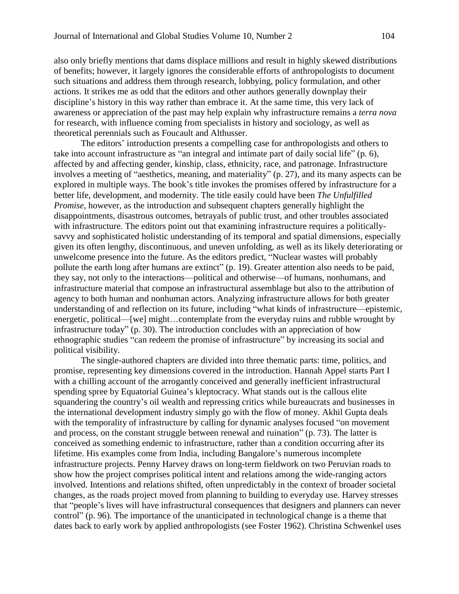also only briefly mentions that dams displace millions and result in highly skewed distributions of benefits; however, it largely ignores the considerable efforts of anthropologists to document such situations and address them through research, lobbying, policy formulation, and other actions. It strikes me as odd that the editors and other authors generally downplay their discipline's history in this way rather than embrace it. At the same time, this very lack of awareness or appreciation of the past may help explain why infrastructure remains a *terra nova* for research, with influence coming from specialists in history and sociology, as well as theoretical perennials such as Foucault and Althusser.

The editors' introduction presents a compelling case for anthropologists and others to take into account infrastructure as "an integral and intimate part of daily social life" (p. 6), affected by and affecting gender, kinship, class, ethnicity, race, and patronage. Infrastructure involves a meeting of "aesthetics, meaning, and materiality" (p. 27), and its many aspects can be explored in multiple ways. The book's title invokes the promises offered by infrastructure for a better life, development, and modernity. The title easily could have been *The Unfulfilled Promise*, however, as the introduction and subsequent chapters generally highlight the disappointments, disastrous outcomes, betrayals of public trust, and other troubles associated with infrastructure. The editors point out that examining infrastructure requires a politicallysavvy and sophisticated holistic understanding of its temporal and spatial dimensions, especially given its often lengthy, discontinuous, and uneven unfolding, as well as its likely deteriorating or unwelcome presence into the future. As the editors predict, "Nuclear wastes will probably pollute the earth long after humans are extinct" (p. 19). Greater attention also needs to be paid, they say, not only to the interactions—political and otherwise—of humans, nonhumans, and infrastructure material that compose an infrastructural assemblage but also to the attribution of agency to both human and nonhuman actors. Analyzing infrastructure allows for both greater understanding of and reflection on its future, including "what kinds of infrastructure—epistemic, energetic, political—[we] might…contemplate from the everyday ruins and rubble wrought by infrastructure today" (p. 30). The introduction concludes with an appreciation of how ethnographic studies "can redeem the promise of infrastructure" by increasing its social and political visibility.

The single-authored chapters are divided into three thematic parts: time, politics, and promise, representing key dimensions covered in the introduction. Hannah Appel starts Part I with a chilling account of the arrogantly conceived and generally inefficient infrastructural spending spree by Equatorial Guinea's kleptocracy. What stands out is the callous elite squandering the country's oil wealth and repressing critics while bureaucrats and businesses in the international development industry simply go with the flow of money. Akhil Gupta deals with the temporality of infrastructure by calling for dynamic analyses focused "on movement and process, on the constant struggle between renewal and ruination" (p. 73). The latter is conceived as something endemic to infrastructure, rather than a condition occurring after its lifetime. His examples come from India, including Bangalore's numerous incomplete infrastructure projects. Penny Harvey draws on long-term fieldwork on two Peruvian roads to show how the project comprises political intent and relations among the wide-ranging actors involved. Intentions and relations shifted, often unpredictably in the context of broader societal changes, as the roads project moved from planning to building to everyday use. Harvey stresses that "people's lives will have infrastructural consequences that designers and planners can never control" (p. 96). The importance of the unanticipated in technological change is a theme that dates back to early work by applied anthropologists (see Foster 1962). Christina Schwenkel uses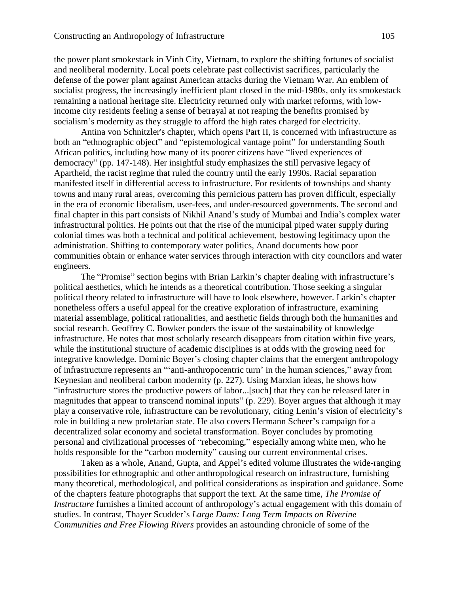the power plant smokestack in Vinh City, Vietnam, to explore the shifting fortunes of socialist and neoliberal modernity. Local poets celebrate past collectivist sacrifices, particularly the defense of the power plant against American attacks during the Vietnam War. An emblem of socialist progress, the increasingly inefficient plant closed in the mid-1980s, only its smokestack remaining a national heritage site. Electricity returned only with market reforms, with lowincome city residents feeling a sense of betrayal at not reaping the benefits promised by socialism's modernity as they struggle to afford the high rates charged for electricity.

Antina von Schnitzler's chapter, which opens Part II, is concerned with infrastructure as both an "ethnographic object" and "epistemological vantage point" for understanding South African politics, including how many of its poorer citizens have "lived experiences of democracy" (pp. 147-148). Her insightful study emphasizes the still pervasive legacy of Apartheid, the racist regime that ruled the country until the early 1990s. Racial separation manifested itself in differential access to infrastructure. For residents of townships and shanty towns and many rural areas, overcoming this pernicious pattern has proven difficult, especially in the era of economic liberalism, user-fees, and under-resourced governments. The second and final chapter in this part consists of Nikhil Anand's study of Mumbai and India's complex water infrastructural politics. He points out that the rise of the municipal piped water supply during colonial times was both a technical and political achievement, bestowing legitimacy upon the administration. Shifting to contemporary water politics, Anand documents how poor communities obtain or enhance water services through interaction with city councilors and water engineers.

The "Promise" section begins with Brian Larkin's chapter dealing with infrastructure's political aesthetics, which he intends as a theoretical contribution. Those seeking a singular political theory related to infrastructure will have to look elsewhere, however. Larkin's chapter nonetheless offers a useful appeal for the creative exploration of infrastructure, examining material assemblage, political rationalities, and aesthetic fields through both the humanities and social research. Geoffrey C. Bowker ponders the issue of the sustainability of knowledge infrastructure. He notes that most scholarly research disappears from citation within five years, while the institutional structure of academic disciplines is at odds with the growing need for integrative knowledge. Dominic Boyer's closing chapter claims that the emergent anthropology of infrastructure represents an "'anti-anthropocentric turn' in the human sciences," away from Keynesian and neoliberal carbon modernity (p. 227). Using Marxian ideas, he shows how "infrastructure stores the productive powers of labor...[such] that they can be released later in magnitudes that appear to transcend nominal inputs" (p. 229). Boyer argues that although it may play a conservative role, infrastructure can be revolutionary, citing Lenin's vision of electricity's role in building a new proletarian state. He also covers Hermann Scheer's campaign for a decentralized solar economy and societal transformation. Boyer concludes by promoting personal and civilizational processes of "rebecoming," especially among white men, who he holds responsible for the "carbon modernity" causing our current environmental crises.

Taken as a whole, Anand, Gupta, and Appel's edited volume illustrates the wide-ranging possibilities for ethnographic and other anthropological research on infrastructure, furnishing many theoretical, methodological, and political considerations as inspiration and guidance. Some of the chapters feature photographs that support the text. At the same time, *The Promise of Instructure* furnishes a limited account of anthropology's actual engagement with this domain of studies. In contrast, Thayer Scudder's *Large Dams: Long Term Impacts on Riverine Communities and Free Flowing Rivers* provides an astounding chronicle of some of the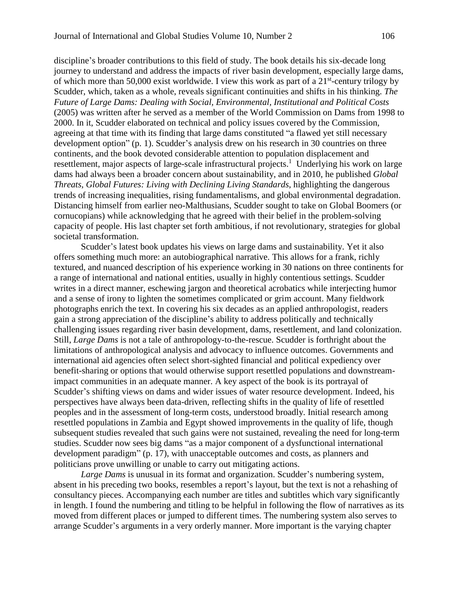discipline's broader contributions to this field of study. The book details his six-decade long journey to understand and address the impacts of river basin development, especially large dams, of which more than 50,000 exist worldwide. I view this work as part of a  $21<sup>st</sup>$ -century trilogy by Scudder, which, taken as a whole, reveals significant continuities and shifts in his thinking. *The Future of Large Dams: Dealing with Social, Environmental, Institutional and Political Costs* (2005) was written after he served as a member of the World Commission on Dams from 1998 to 2000. In it, Scudder elaborated on technical and policy issues covered by the Commission, agreeing at that time with its finding that large dams constituted "a flawed yet still necessary development option" (p. 1). Scudder's analysis drew on his research in 30 countries on three continents, and the book devoted considerable attention to population displacement and resettlement, major aspects of large-scale infrastructural projects.<sup>1</sup> Underlying his work on large dams had always been a broader concern about sustainability, and in 2010, he published *Global Threats, Global Futures: Living with Declining Living Standards*, highlighting the dangerous trends of increasing inequalities, rising fundamentalisms, and global environmental degradation. Distancing himself from earlier neo-Malthusians, Scudder sought to take on Global Boomers (or cornucopians) while acknowledging that he agreed with their belief in the problem-solving capacity of people. His last chapter set forth ambitious, if not revolutionary, strategies for global societal transformation.

Scudder's latest book updates his views on large dams and sustainability. Yet it also offers something much more: an autobiographical narrative. This allows for a frank, richly textured, and nuanced description of his experience working in 30 nations on three continents for a range of international and national entities, usually in highly contentious settings. Scudder writes in a direct manner, eschewing jargon and theoretical acrobatics while interjecting humor and a sense of irony to lighten the sometimes complicated or grim account. Many fieldwork photographs enrich the text. In covering his six decades as an applied anthropologist, readers gain a strong appreciation of the discipline's ability to address politically and technically challenging issues regarding river basin development, dams, resettlement, and land colonization. Still, *Large Dams* is not a tale of anthropology-to-the-rescue. Scudder is forthright about the limitations of anthropological analysis and advocacy to influence outcomes. Governments and international aid agencies often select short-sighted financial and political expediency over benefit-sharing or options that would otherwise support resettled populations and downstreamimpact communities in an adequate manner. A key aspect of the book is its portrayal of Scudder's shifting views on dams and wider issues of water resource development. Indeed, his perspectives have always been data-driven, reflecting shifts in the quality of life of resettled peoples and in the assessment of long-term costs, understood broadly. Initial research among resettled populations in Zambia and Egypt showed improvements in the quality of life, though subsequent studies revealed that such gains were not sustained, revealing the need for long-term studies. Scudder now sees big dams "as a major component of a dysfunctional international development paradigm" (p. 17), with unacceptable outcomes and costs, as planners and politicians prove unwilling or unable to carry out mitigating actions.

*Large Dams* is unusual in its format and organization. Scudder's numbering system, absent in his preceding two books, resembles a report's layout, but the text is not a rehashing of consultancy pieces. Accompanying each number are titles and subtitles which vary significantly in length. I found the numbering and titling to be helpful in following the flow of narratives as its moved from different places or jumped to different times. The numbering system also serves to arrange Scudder's arguments in a very orderly manner. More important is the varying chapter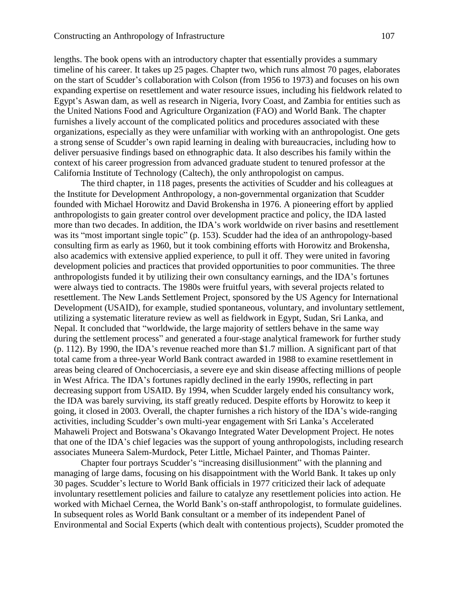lengths. The book opens with an introductory chapter that essentially provides a summary timeline of his career. It takes up 25 pages. Chapter two, which runs almost 70 pages, elaborates on the start of Scudder's collaboration with Colson (from 1956 to 1973) and focuses on his own expanding expertise on resettlement and water resource issues, including his fieldwork related to Egypt's Aswan dam, as well as research in Nigeria, Ivory Coast, and Zambia for entities such as the United Nations Food and Agriculture Organization (FAO) and World Bank. The chapter furnishes a lively account of the complicated politics and procedures associated with these organizations, especially as they were unfamiliar with working with an anthropologist. One gets a strong sense of Scudder's own rapid learning in dealing with bureaucracies, including how to deliver persuasive findings based on ethnographic data. It also describes his family within the context of his career progression from advanced graduate student to tenured professor at the California Institute of Technology (Caltech), the only anthropologist on campus.

The third chapter, in 118 pages, presents the activities of Scudder and his colleagues at the Institute for Development Anthropology, a non-governmental organization that Scudder founded with Michael Horowitz and David Brokensha in 1976. A pioneering effort by applied anthropologists to gain greater control over development practice and policy, the IDA lasted more than two decades. In addition, the IDA's work worldwide on river basins and resettlement was its "most important single topic" (p. 153). Scudder had the idea of an anthropology-based consulting firm as early as 1960, but it took combining efforts with Horowitz and Brokensha, also academics with extensive applied experience, to pull it off. They were united in favoring development policies and practices that provided opportunities to poor communities. The three anthropologists funded it by utilizing their own consultancy earnings, and the IDA's fortunes were always tied to contracts. The 1980s were fruitful years, with several projects related to resettlement. The New Lands Settlement Project, sponsored by the US Agency for International Development (USAID), for example, studied spontaneous, voluntary, and involuntary settlement, utilizing a systematic literature review as well as fieldwork in Egypt, Sudan, Sri Lanka, and Nepal. It concluded that "worldwide, the large majority of settlers behave in the same way during the settlement process" and generated a four-stage analytical framework for further study (p. 112). By 1990, the IDA's revenue reached more than \$1.7 million. A significant part of that total came from a three-year World Bank contract awarded in 1988 to examine resettlement in areas being cleared of Onchocerciasis, a severe eye and skin disease affecting millions of people in West Africa. The IDA's fortunes rapidly declined in the early 1990s, reflecting in part decreasing support from USAID. By 1994, when Scudder largely ended his consultancy work, the IDA was barely surviving, its staff greatly reduced. Despite efforts by Horowitz to keep it going, it closed in 2003. Overall, the chapter furnishes a rich history of the IDA's wide-ranging activities, including Scudder's own multi-year engagement with Sri Lanka's Accelerated Mahaweli Project and Botswana's Okavango Integrated Water Development Project. He notes that one of the IDA's chief legacies was the support of young anthropologists, including research associates Muneera Salem-Murdock, Peter Little, Michael Painter, and Thomas Painter.

Chapter four portrays Scudder's "increasing disillusionment" with the planning and managing of large dams, focusing on his disappointment with the World Bank. It takes up only 30 pages. Scudder's lecture to World Bank officials in 1977 criticized their lack of adequate involuntary resettlement policies and failure to catalyze any resettlement policies into action. He worked with Michael Cernea, the World Bank's on-staff anthropologist, to formulate guidelines. In subsequent roles as World Bank consultant or a member of its independent Panel of Environmental and Social Experts (which dealt with contentious projects), Scudder promoted the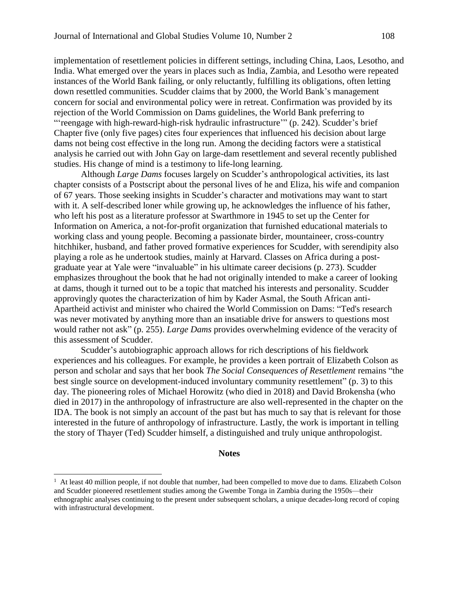implementation of resettlement policies in different settings, including China, Laos, Lesotho, and India. What emerged over the years in places such as India, Zambia, and Lesotho were repeated instances of the World Bank failing, or only reluctantly, fulfilling its obligations, often letting down resettled communities. Scudder claims that by 2000, the World Bank's management concern for social and environmental policy were in retreat. Confirmation was provided by its rejection of the World Commission on Dams guidelines, the World Bank preferring to "'reengage with high-reward-high-risk hydraulic infrastructure" (p. 242). Scudder's brief Chapter five (only five pages) cites four experiences that influenced his decision about large dams not being cost effective in the long run. Among the deciding factors were a statistical analysis he carried out with John Gay on large-dam resettlement and several recently published studies. His change of mind is a testimony to life-long learning.

Although *Large Dams* focuses largely on Scudder's anthropological activities, its last chapter consists of a Postscript about the personal lives of he and Eliza, his wife and companion of 67 years. Those seeking insights in Scudder's character and motivations may want to start with it. A self-described loner while growing up, he acknowledges the influence of his father, who left his post as a literature professor at Swarthmore in 1945 to set up the Center for Information on America, a not-for-profit organization that furnished educational materials to working class and young people. Becoming a passionate birder, mountaineer, cross-country hitchhiker, husband, and father proved formative experiences for Scudder, with serendipity also playing a role as he undertook studies, mainly at Harvard. Classes on Africa during a postgraduate year at Yale were "invaluable" in his ultimate career decisions (p. 273). Scudder emphasizes throughout the book that he had not originally intended to make a career of looking at dams, though it turned out to be a topic that matched his interests and personality. Scudder approvingly quotes the characterization of him by Kader Asmal, the South African anti-Apartheid activist and minister who chaired the World Commission on Dams: "Ted's research was never motivated by anything more than an insatiable drive for answers to questions most would rather not ask" (p. 255). *Large Dams* provides overwhelming evidence of the veracity of this assessment of Scudder.

Scudder's autobiographic approach allows for rich descriptions of his fieldwork experiences and his colleagues. For example, he provides a keen portrait of Elizabeth Colson as person and scholar and says that her book *The Social Consequences of Resettlement* remains "the best single source on development-induced involuntary community resettlement" (p. 3) to this day. The pioneering roles of Michael Horowitz (who died in 2018) and David Brokensha (who died in 2017) in the anthropology of infrastructure are also well-represented in the chapter on the IDA. The book is not simply an account of the past but has much to say that is relevant for those interested in the future of anthropology of infrastructure. Lastly, the work is important in telling the story of Thayer (Ted) Scudder himself, a distinguished and truly unique anthropologist.

#### **Notes**

 $\overline{a}$ 

 $<sup>1</sup>$  At least 40 million people, if not double that number, had been compelled to move due to dams. Elizabeth Colson</sup> and Scudder pioneered resettlement studies among the Gwembe Tonga in Zambia during the 1950s—their ethnographic analyses continuing to the present under subsequent scholars, a unique decades-long record of coping with infrastructural development.